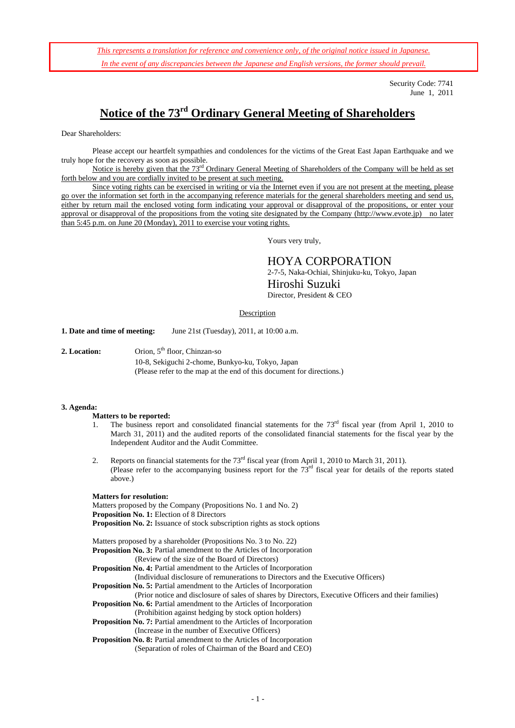*This represents a translation for reference and convenience only, of the original notice issued in Japanese. In the event of any discrepancies between the Japanese and English versions, the former should prevail.*

> Security Code: 7741 June 1, 2011

# **Notice of the 73rd Ordinary General Meeting of Shareholders**

Dear Shareholders:

Please accept our heartfelt sympathies and condolences for the victims of the Great East Japan Earthquake and we truly hope for the recovery as soon as possible.

Notice is hereby given that the 73<sup>rd</sup> Ordinary General Meeting of Shareholders of the Company will be held as set forth below and you are cordially invited to be present at such meeting.

Since voting rights can be exercised in writing or via the Internet even if you are not present at the meeting, please go over the information set forth in the accompanying reference materials for the general shareholders meeting and send us, either by return mail the enclosed voting form indicating your approval or disapproval of the propositions, or enter your approval or disapproval of the propositions from the voting site designated by the Company (http://www.evote.jp) no later than 5:45 p.m. on June 20 (Monday), 2011 to exercise your voting rights.

Yours very truly,

HOYA CORPORATION 2-7-5, Naka-Ochiai, Shinjuku-ku, Tokyo, Japan Hiroshi Suzuki Director, President & CEO

#### Description

**1. Date and time of meeting:** June 21st (Tuesday), 2011, at 10:00 a.m.

**2. Location:** Orion, 5<sup>th</sup> floor, Chinzan-so 10-8, Sekiguchi 2-chome, Bunkyo-ku, Tokyo, Japan (Please refer to the map at the end of this document for directions.)

#### **3. Agenda:**

#### **Matters to be reported:**

- 1. The business report and consolidated financial statements for the  $73<sup>rd</sup>$  fiscal year (from April 1, 2010 to March 31, 2011) and the audited reports of the consolidated financial statements for the fiscal year by the Independent Auditor and the Audit Committee.
- 2. Reports on financial statements for the  $73<sup>rd</sup>$  fiscal year (from April 1, 2010 to March 31, 2011). (Please refer to the accompanying business report for the  $73<sup>rd</sup>$  fiscal year for details of the reports stated above.)

#### **Matters for resolution:**

Matters proposed by the Company (Propositions No. 1 and No. 2) **Proposition No. 1:** Election of 8 Directors **Proposition No. 2:** Issuance of stock subscription rights as stock options

Matters proposed by a shareholder (Propositions No. 3 to No. 22) **Proposition No. 3:** Partial amendment to the Articles of Incorporation (Review of the size of the Board of Directors)

**Proposition No. 4:** Partial amendment to the Articles of Incorporation

(Individual disclosure of remunerations to Directors and the Executive Officers)

**Proposition No. 5:** Partial amendment to the Articles of Incorporation

 (Prior notice and disclosure of sales of shares by Directors, Executive Officers and their families) **Proposition No. 6:** Partial amendment to the Articles of Incorporation

(Prohibition against hedging by stock option holders)

**Proposition No. 7:** Partial amendment to the Articles of Incorporation (Increase in the number of Executive Officers)

**Proposition No. 8:** Partial amendment to the Articles of Incorporation (Separation of roles of Chairman of the Board and CEO)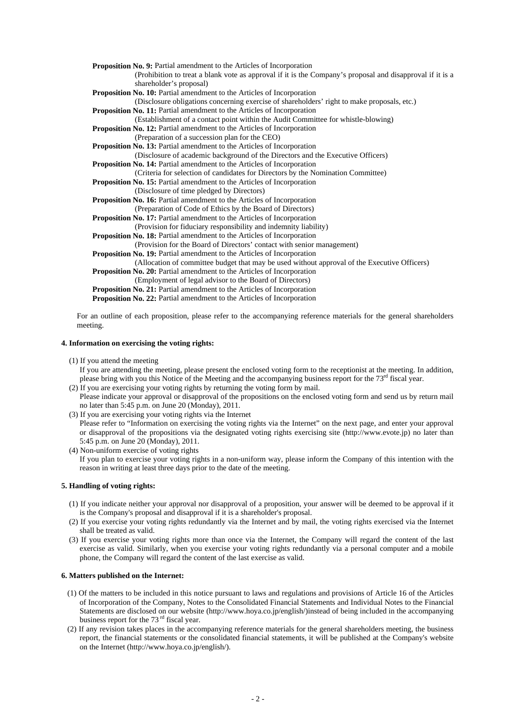**Proposition No. 9:** Partial amendment to the Articles of Incorporation (Prohibition to treat a blank vote as approval if it is the Company's proposal and disapproval if it is a shareholder's proposal) **Proposition No. 10:** Partial amendment to the Articles of Incorporation (Disclosure obligations concerning exercise of shareholders' right to make proposals, etc.) **Proposition No. 11:** Partial amendment to the Articles of Incorporation (Establishment of a contact point within the Audit Committee for whistle-blowing) **Proposition No. 12:** Partial amendment to the Articles of Incorporation (Preparation of a succession plan for the CEO) **Proposition No. 13:** Partial amendment to the Articles of Incorporation (Disclosure of academic background of the Directors and the Executive Officers) **Proposition No. 14:** Partial amendment to the Articles of Incorporation (Criteria for selection of candidates for Directors by the Nomination Committee) **Proposition No. 15:** Partial amendment to the Articles of Incorporation (Disclosure of time pledged by Directors) **Proposition No. 16:** Partial amendment to the Articles of Incorporation (Preparation of Code of Ethics by the Board of Directors) **Proposition No. 17:** Partial amendment to the Articles of Incorporation (Provision for fiduciary responsibility and indemnity liability) **Proposition No. 18:** Partial amendment to the Articles of Incorporation (Provision for the Board of Directors' contact with senior management) **Proposition No. 19:** Partial amendment to the Articles of Incorporation (Allocation of committee budget that may be used without approval of the Executive Officers) **Proposition No. 20:** Partial amendment to the Articles of Incorporation (Employment of legal advisor to the Board of Directors) **Proposition No. 21:** Partial amendment to the Articles of Incorporation **Proposition No. 22:** Partial amendment to the Articles of Incorporation For an outline of each proposition, please refer to the accompanying reference materials for the general shareholders

meeting.

# **4. Information on exercising the voting rights:**

- (1) If you attend the meeting
	- If you are attending the meeting, please present the enclosed voting form to the receptionist at the meeting. In addition, please bring with you this Notice of the Meeting and the accompanying business report for the 73rd fiscal year.
- (2) If you are exercising your voting rights by returning the voting form by mail. Please indicate your approval or disapproval of the propositions on the enclosed voting form and send us by return mail
- no later than 5:45 p.m. on June 20 (Monday), 2011. (3) If you are exercising your voting rights via the Internet

Please refer to "Information on exercising the voting rights via the Internet" on the next page, and enter your approval or disapproval of the propositions via the designated voting rights exercising site (http://www.evote.jp) no later than 5:45 p.m. on June 20 (Monday), 2011.

(4) Non-uniform exercise of voting rights If you plan to exercise your voting rights in a non-uniform way, please inform the Company of this intention with the reason in writing at least three days prior to the date of the meeting.

# **5. Handling of voting rights:**

- (1) If you indicate neither your approval nor disapproval of a proposition, your answer will be deemed to be approval if it is the Company's proposal and disapproval if it is a shareholder's proposal.
- (2) If you exercise your voting rights redundantly via the Internet and by mail, the voting rights exercised via the Internet shall be treated as valid.
- (3) If you exercise your voting rights more than once via the Internet, the Company will regard the content of the last exercise as valid. Similarly, when you exercise your voting rights redundantly via a personal computer and a mobile phone, the Company will regard the content of the last exercise as valid.

# **6. Matters published on the Internet:**

- (1) Of the matters to be included in this notice pursuant to laws and regulations and provisions of Article 16 of the Articles of Incorporation of the Company, Notes to the Consolidated Financial Statements and Individual Notes to the Financial Statements are disclosed on our website (http://www.hoya.co.jp/english/)instead of being included in the accompanying business report for the 73<sup>rd</sup> fiscal year.
- (2) If any revision takes places in the accompanying reference materials for the general shareholders meeting, the business report, the financial statements or the consolidated financial statements, it will be published at the Company's website on the Internet (http://www.hoya.co.jp/english/).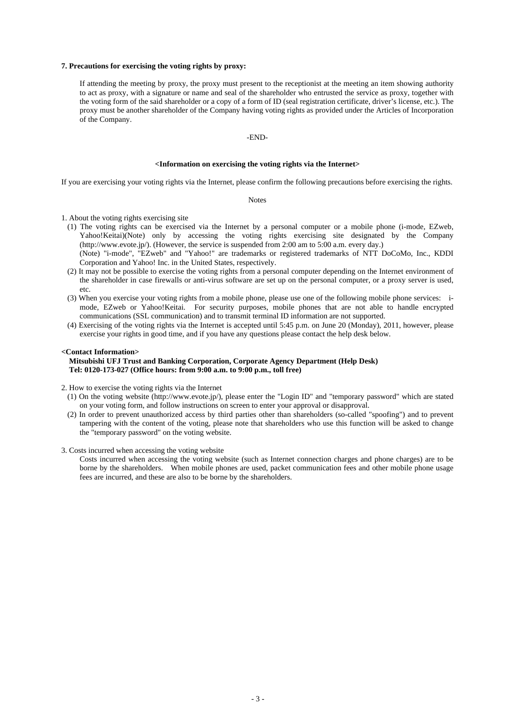#### **7. Precautions for exercising the voting rights by proxy:**

If attending the meeting by proxy, the proxy must present to the receptionist at the meeting an item showing authority to act as proxy, with a signature or name and seal of the shareholder who entrusted the service as proxy, together with the voting form of the said shareholder or a copy of a form of ID (seal registration certificate, driver's license, etc.). The proxy must be another shareholder of the Company having voting rights as provided under the Articles of Incorporation of the Company.

# -END-

#### **<Information on exercising the voting rights via the Internet>**

If you are exercising your voting rights via the Internet, please confirm the following precautions before exercising the rights.

Notes

1. About the voting rights exercising site

- (1) The voting rights can be exercised via the Internet by a personal computer or a mobile phone (i-mode, EZweb, Yahoo!Keitai)(Note) only by accessing the voting rights exercising site designated by the Company (http://www.evote.jp/). (However, the service is suspended from 2:00 am to 5:00 a.m. every day.)
- (Note) "i-mode", "EZweb" and "Yahoo!" are trademarks or registered trademarks of NTT DoCoMo, Inc., KDDI Corporation and Yahoo! Inc. in the United States, respectively.
- (2) It may not be possible to exercise the voting rights from a personal computer depending on the Internet environment of the shareholder in case firewalls or anti-virus software are set up on the personal computer, or a proxy server is used, etc.
- (3) When you exercise your voting rights from a mobile phone, please use one of the following mobile phone services: imode, EZweb or Yahoo!Keitai. For security purposes, mobile phones that are not able to handle encrypted communications (SSL communication) and to transmit terminal ID information are not supported.
- (4) Exercising of the voting rights via the Internet is accepted until 5:45 p.m. on June 20 (Monday), 2011, however, please exercise your rights in good time, and if you have any questions please contact the help desk below.

### **<Contact Information>**

# **Mitsubishi UFJ Trust and Banking Corporation, Corporate Agency Department (Help Desk) Tel: 0120-173-027 (Office hours: from 9:00 a.m. to 9:00 p.m., toll free)**

2. How to exercise the voting rights via the Internet

- (1) On the voting website (http://www.evote.jp/), please enter the "Login ID" and "temporary password" which are stated on your voting form, and follow instructions on screen to enter your approval or disapproval.
- (2) In order to prevent unauthorized access by third parties other than shareholders (so-called "spoofing") and to prevent tampering with the content of the voting, please note that shareholders who use this function will be asked to change the "temporary password" on the voting website.
- 3. Costs incurred when accessing the voting website

Costs incurred when accessing the voting website (such as Internet connection charges and phone charges) are to be borne by the shareholders. When mobile phones are used, packet communication fees and other mobile phone usage fees are incurred, and these are also to be borne by the shareholders.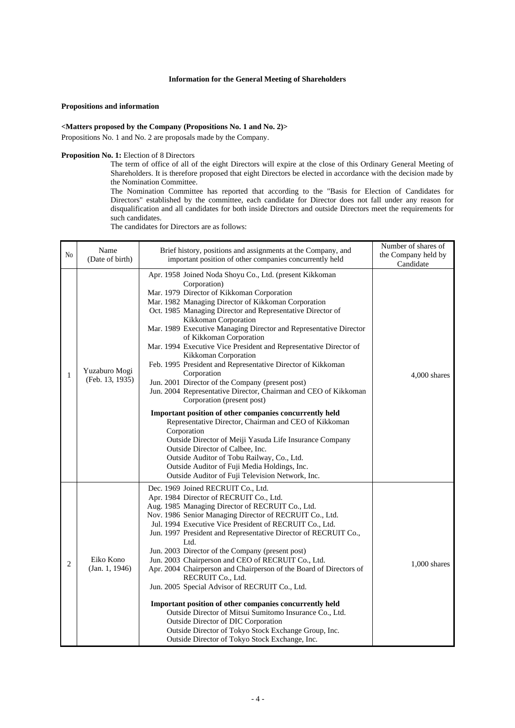# **Information for the General Meeting of Shareholders**

#### **Propositions and information**

### **<Matters proposed by the Company (Propositions No. 1 and No. 2)>**

Propositions No. 1 and No. 2 are proposals made by the Company.

# **Proposition No. 1:** Election of 8 Directors

The term of office of all of the eight Directors will expire at the close of this Ordinary General Meeting of Shareholders. It is therefore proposed that eight Directors be elected in accordance with the decision made by the Nomination Committee.

The Nomination Committee has reported that according to the "Basis for Election of Candidates for Directors" established by the committee, each candidate for Director does not fall under any reason for disqualification and all candidates for both inside Directors and outside Directors meet the requirements for such candidates.

The candidates for Directors are as follows:

| N <sub>0</sub> | Name<br>(Date of birth)          | Brief history, positions and assignments at the Company, and<br>important position of other companies concurrently held                                                                                                                                                                                                                                                                                                                                                                                                                                                                                                                                                                                                                                                                                                                                                                                                                                                                                                                                                                | Number of shares of<br>the Company held by<br>Candidate |
|----------------|----------------------------------|----------------------------------------------------------------------------------------------------------------------------------------------------------------------------------------------------------------------------------------------------------------------------------------------------------------------------------------------------------------------------------------------------------------------------------------------------------------------------------------------------------------------------------------------------------------------------------------------------------------------------------------------------------------------------------------------------------------------------------------------------------------------------------------------------------------------------------------------------------------------------------------------------------------------------------------------------------------------------------------------------------------------------------------------------------------------------------------|---------------------------------------------------------|
| 1              | Yuzaburo Mogi<br>(Feb. 13, 1935) | Apr. 1958 Joined Noda Shoyu Co., Ltd. (present Kikkoman<br>Corporation)<br>Mar. 1979 Director of Kikkoman Corporation<br>Mar. 1982 Managing Director of Kikkoman Corporation<br>Oct. 1985 Managing Director and Representative Director of<br>Kikkoman Corporation<br>Mar. 1989 Executive Managing Director and Representative Director<br>of Kikkoman Corporation<br>Mar. 1994 Executive Vice President and Representative Director of<br>Kikkoman Corporation<br>Feb. 1995 President and Representative Director of Kikkoman<br>Corporation<br>Jun. 2001 Director of the Company (present post)<br>Jun. 2004 Representative Director, Chairman and CEO of Kikkoman<br>Corporation (present post)<br>Important position of other companies concurrently held<br>Representative Director, Chairman and CEO of Kikkoman<br>Corporation<br>Outside Director of Meiji Yasuda Life Insurance Company<br>Outside Director of Calbee, Inc.<br>Outside Auditor of Tobu Railway, Co., Ltd.<br>Outside Auditor of Fuji Media Holdings, Inc.<br>Outside Auditor of Fuji Television Network, Inc. | 4,000 shares                                            |
| 2              | Eiko Kono<br>(Jan. 1, 1946)      | Dec. 1969 Joined RECRUIT Co., Ltd.<br>Apr. 1984 Director of RECRUIT Co., Ltd.<br>Aug. 1985 Managing Director of RECRUIT Co., Ltd.<br>Nov. 1986 Senior Managing Director of RECRUIT Co., Ltd.<br>Jul. 1994 Executive Vice President of RECRUIT Co., Ltd.<br>Jun. 1997 President and Representative Director of RECRUIT Co.,<br>Ltd.<br>Jun. 2003 Director of the Company (present post)<br>Jun. 2003 Chairperson and CEO of RECRUIT Co., Ltd.<br>Apr. 2004 Chairperson and Chairperson of the Board of Directors of<br>RECRUIT Co., Ltd.<br>Jun. 2005 Special Advisor of RECRUIT Co., Ltd.<br>Important position of other companies concurrently held<br>Outside Director of Mitsui Sumitomo Insurance Co., Ltd.<br>Outside Director of DIC Corporation<br>Outside Director of Tokyo Stock Exchange Group, Inc.<br>Outside Director of Tokyo Stock Exchange, Inc.                                                                                                                                                                                                                       | $1,000$ shares                                          |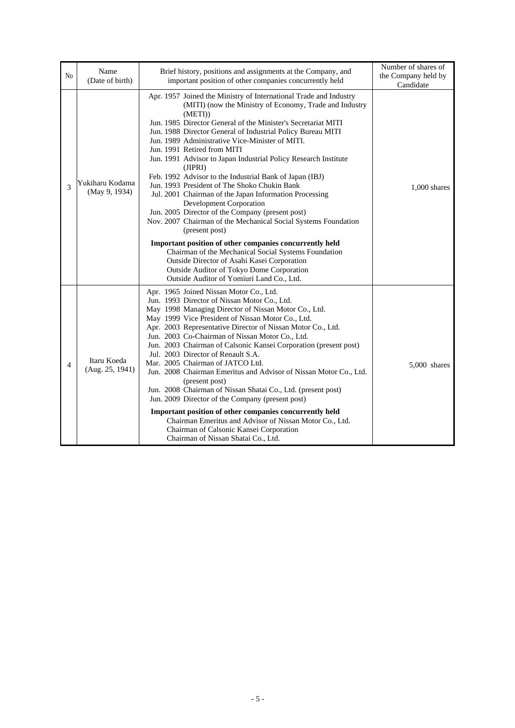| N <sub>0</sub> | Name<br>(Date of birth)          | Brief history, positions and assignments at the Company, and<br>important position of other companies concurrently held                                                                                                                                                                                                                                                                                                                                                                                                                                                                                                                                                                                                                                                                                                                                                                                                                                                                                                                    | Number of shares of<br>the Company held by<br>Candidate |
|----------------|----------------------------------|--------------------------------------------------------------------------------------------------------------------------------------------------------------------------------------------------------------------------------------------------------------------------------------------------------------------------------------------------------------------------------------------------------------------------------------------------------------------------------------------------------------------------------------------------------------------------------------------------------------------------------------------------------------------------------------------------------------------------------------------------------------------------------------------------------------------------------------------------------------------------------------------------------------------------------------------------------------------------------------------------------------------------------------------|---------------------------------------------------------|
| 3              | Yukiharu Kodama<br>(May 9, 1934) | Apr. 1957 Joined the Ministry of International Trade and Industry<br>(MITI) (now the Ministry of Economy, Trade and Industry<br>(METI)<br>Jun. 1985 Director General of the Minister's Secretariat MITI<br>Jun. 1988 Director General of Industrial Policy Bureau MITI<br>Jun. 1989 Administrative Vice-Minister of MITI.<br>Jun. 1991 Retired from MITI<br>Jun. 1991 Advisor to Japan Industrial Policy Research Institute<br>(JIPRI)<br>Feb. 1992 Advisor to the Industrial Bank of Japan (IBJ)<br>Jun. 1993 President of The Shoko Chukin Bank<br>Jul. 2001 Chairman of the Japan Information Processing<br>Development Corporation<br>Jun. 2005 Director of the Company (present post)<br>Nov. 2007 Chairman of the Mechanical Social Systems Foundation<br>(present post)<br>Important position of other companies concurrently held<br>Chairman of the Mechanical Social Systems Foundation<br>Outside Director of Asahi Kasei Corporation<br>Outside Auditor of Tokyo Dome Corporation<br>Outside Auditor of Yomiuri Land Co., Ltd. | $1,000$ shares                                          |
| 4              | Itaru Koeda<br>(Aug. 25, 1941)   | Apr. 1965 Joined Nissan Motor Co., Ltd.<br>Jun. 1993 Director of Nissan Motor Co., Ltd.<br>May 1998 Managing Director of Nissan Motor Co., Ltd.<br>May 1999 Vice President of Nissan Motor Co., Ltd.<br>Apr. 2003 Representative Director of Nissan Motor Co., Ltd.<br>Jun. 2003 Co-Chairman of Nissan Motor Co., Ltd.<br>Jun. 2003 Chairman of Calsonic Kansei Corporation (present post)<br>Jul. 2003 Director of Renault S.A.<br>Mar. 2005 Chairman of JATCO Ltd.<br>Jun. 2008 Chairman Emeritus and Advisor of Nissan Motor Co., Ltd.<br>(present post)<br>Jun. 2008 Chairman of Nissan Shatai Co., Ltd. (present post)<br>Jun. 2009 Director of the Company (present post)<br>Important position of other companies concurrently held<br>Chairman Emeritus and Advisor of Nissan Motor Co., Ltd.<br>Chairman of Calsonic Kansei Corporation<br>Chairman of Nissan Shatai Co., Ltd.                                                                                                                                                    | 5,000 shares                                            |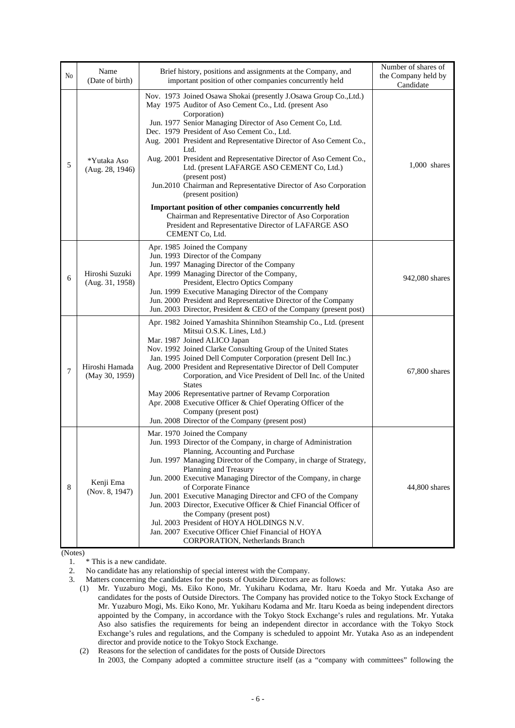| N0 | Name<br>(Date of birth)           | Brief history, positions and assignments at the Company, and<br>important position of other companies concurrently held                                                                                                                                                                                                                                                                                                                                                                                                                                                                                                                          | Number of shares of<br>the Company held by<br>Candidate |
|----|-----------------------------------|--------------------------------------------------------------------------------------------------------------------------------------------------------------------------------------------------------------------------------------------------------------------------------------------------------------------------------------------------------------------------------------------------------------------------------------------------------------------------------------------------------------------------------------------------------------------------------------------------------------------------------------------------|---------------------------------------------------------|
| 5  | *Yutaka Aso<br>(Aug. 28, 1946)    | Nov. 1973 Joined Osawa Shokai (presently J.Osawa Group Co., Ltd.)<br>May 1975 Auditor of Aso Cement Co., Ltd. (present Aso<br>Corporation)<br>Jun. 1977 Senior Managing Director of Aso Cement Co, Ltd.<br>Dec. 1979 President of Aso Cement Co., Ltd.<br>Aug. 2001 President and Representative Director of Aso Cement Co.,<br>Ltd.<br>Aug. 2001 President and Representative Director of Aso Cement Co.,<br>Ltd. (present LAFARGE ASO CEMENT Co, Ltd.)<br>(present post)<br>Jun.2010 Chairman and Representative Director of Aso Corporation<br>(present position)                                                                             | $1,000$ shares                                          |
|    |                                   | Important position of other companies concurrently held<br>Chairman and Representative Director of Aso Corporation<br>President and Representative Director of LAFARGE ASO<br>CEMENT Co, Ltd.                                                                                                                                                                                                                                                                                                                                                                                                                                                    |                                                         |
| 6  | Hiroshi Suzuki<br>(Aug. 31, 1958) | Apr. 1985 Joined the Company<br>Jun. 1993 Director of the Company<br>Jun. 1997 Managing Director of the Company<br>Apr. 1999 Managing Director of the Company,<br>President, Electro Optics Company<br>Jun. 1999 Executive Managing Director of the Company<br>Jun. 2000 President and Representative Director of the Company<br>Jun. 2003 Director, President & CEO of the Company (present post)                                                                                                                                                                                                                                               | 942,080 shares                                          |
| 7  | Hiroshi Hamada<br>(May 30, 1959)  | Apr. 1982 Joined Yamashita Shinnihon Steamship Co., Ltd. (present<br>Mitsui O.S.K. Lines, Ltd.)<br>Mar. 1987 Joined ALICO Japan<br>Nov. 1992 Joined Clarke Consulting Group of the United States<br>Jan. 1995 Joined Dell Computer Corporation (present Dell Inc.)<br>Aug. 2000 President and Representative Director of Dell Computer<br>Corporation, and Vice President of Dell Inc. of the United<br><b>States</b><br>May 2006 Representative partner of Revamp Corporation<br>Apr. 2008 Executive Officer & Chief Operating Officer of the<br>Company (present post)<br>Jun. 2008 Director of the Company (present post)                     | 67,800 shares                                           |
| 8  | Kenji Ema<br>(Nov. 8, 1947)       | Mar. 1970 Joined the Company<br>Jun. 1993 Director of the Company, in charge of Administration<br>Planning, Accounting and Purchase<br>Jun. 1997 Managing Director of the Company, in charge of Strategy,<br>Planning and Treasury<br>Jun. 2000 Executive Managing Director of the Company, in charge<br>of Corporate Finance<br>Jun. 2001 Executive Managing Director and CFO of the Company<br>Jun. 2003 Director, Executive Officer & Chief Financial Officer of<br>the Company (present post)<br>Jul. 2003 President of HOYA HOLDINGS N.V.<br>Jan. 2007 Executive Officer Chief Financial of HOYA<br><b>CORPORATION</b> , Netherlands Branch | 44,800 shares                                           |

(Notes)

1. \* This is a new candidate.

2. No candidate has any relationship of special interest with the Company.

3. Matters concerning the candidates for the posts of Outside Directors are as follows:

- (1) Mr. Yuzaburo Mogi, Ms. Eiko Kono, Mr. Yukiharu Kodama, Mr. Itaru Koeda and Mr. Yutaka Aso are candidates for the posts of Outside Directors. The Company has provided notice to the Tokyo Stock Exchange of Mr. Yuzaburo Mogi, Ms. Eiko Kono, Mr. Yukiharu Kodama and Mr. Itaru Koeda as being independent directors appointed by the Company, in accordance with the Tokyo Stock Exchange's rules and regulations. Mr. Yutaka Aso also satisfies the requirements for being an independent director in accordance with the Tokyo Stock Exchange's rules and regulations, and the Company is scheduled to appoint Mr. Yutaka Aso as an independent director and provide notice to the Tokyo Stock Exchange.
- (2) Reasons for the selection of candidates for the posts of Outside Directors
	- In 2003, the Company adopted a committee structure itself (as a "company with committees" following the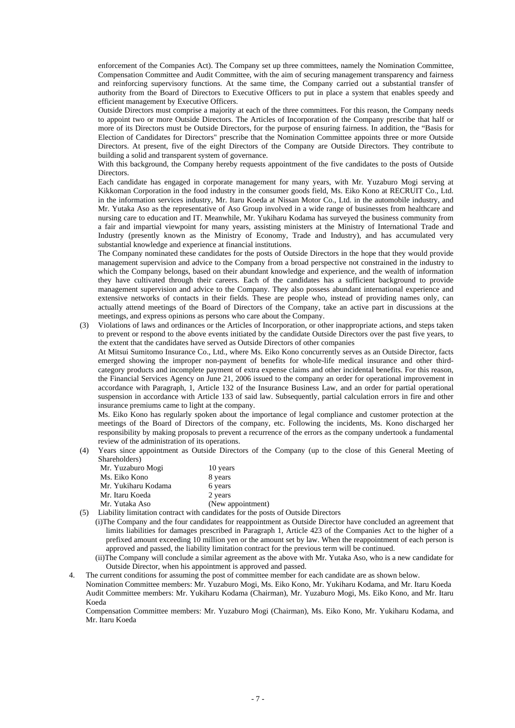enforcement of the Companies Act). The Company set up three committees, namely the Nomination Committee, Compensation Committee and Audit Committee, with the aim of securing management transparency and fairness and reinforcing supervisory functions. At the same time, the Company carried out a substantial transfer of authority from the Board of Directors to Executive Officers to put in place a system that enables speedy and efficient management by Executive Officers.

Outside Directors must comprise a majority at each of the three committees. For this reason, the Company needs to appoint two or more Outside Directors. The Articles of Incorporation of the Company prescribe that half or more of its Directors must be Outside Directors, for the purpose of ensuring fairness. In addition, the "Basis for Election of Candidates for Directors" prescribe that the Nomination Committee appoints three or more Outside Directors. At present, five of the eight Directors of the Company are Outside Directors. They contribute to building a solid and transparent system of governance.

With this background, the Company hereby requests appointment of the five candidates to the posts of Outside **Directors** 

Each candidate has engaged in corporate management for many years, with Mr. Yuzaburo Mogi serving at Kikkoman Corporation in the food industry in the consumer goods field, Ms. Eiko Kono at RECRUIT Co., Ltd. in the information services industry, Mr. Itaru Koeda at Nissan Motor Co., Ltd. in the automobile industry, and Mr. Yutaka Aso as the representative of Aso Group involved in a wide range of businesses from healthcare and nursing care to education and IT. Meanwhile, Mr. Yukiharu Kodama has surveyed the business community from a fair and impartial viewpoint for many years, assisting ministers at the Ministry of International Trade and Industry (presently known as the Ministry of Economy, Trade and Industry), and has accumulated very substantial knowledge and experience at financial institutions.

The Company nominated these candidates for the posts of Outside Directors in the hope that they would provide management supervision and advice to the Company from a broad perspective not constrained in the industry to which the Company belongs, based on their abundant knowledge and experience, and the wealth of information they have cultivated through their careers. Each of the candidates has a sufficient background to provide management supervision and advice to the Company. They also possess abundant international experience and extensive networks of contacts in their fields. These are people who, instead of providing names only, can actually attend meetings of the Board of Directors of the Company, take an active part in discussions at the meetings, and express opinions as persons who care about the Company.

(3) Violations of laws and ordinances or the Articles of Incorporation, or other inappropriate actions, and steps taken to prevent or respond to the above events initiated by the candidate Outside Directors over the past five years, to the extent that the candidates have served as Outside Directors of other companies

At Mitsui Sumitomo Insurance Co., Ltd., where Ms. Eiko Kono concurrently serves as an Outside Director, facts emerged showing the improper non-payment of benefits for whole-life medical insurance and other thirdcategory products and incomplete payment of extra expense claims and other incidental benefits. For this reason, the Financial Services Agency on June 21, 2006 issued to the company an order for operational improvement in accordance with Paragraph, 1, Article 132 of the Insurance Business Law, and an order for partial operational suspension in accordance with Article 133 of said law. Subsequently, partial calculation errors in fire and other insurance premiums came to light at the company.

Ms. Eiko Kono has regularly spoken about the importance of legal compliance and customer protection at the meetings of the Board of Directors of the company, etc. Following the incidents, Ms. Kono discharged her responsibility by making proposals to prevent a recurrence of the errors as the company undertook a fundamental review of the administration of its operations.

(4) Years since appointment as Outside Directors of the Company (up to the close of this General Meeting of Shareholders)

| Mr. Yuzaburo Mogi   | 10 years          |
|---------------------|-------------------|
| Ms. Eiko Kono       | 8 years           |
| Mr. Yukiharu Kodama | 6 years           |
| Mr. Itaru Koeda     | 2 years           |
| Mr. Yutaka Aso      | (New appointment) |

- (5) Liability limitation contract with candidates for the posts of Outside Directors
	- (i)The Company and the four candidates for reappointment as Outside Director have concluded an agreement that limits liabilities for damages prescribed in Paragraph 1, Article 423 of the Companies Act to the higher of a prefixed amount exceeding 10 million yen or the amount set by law. When the reappointment of each person is approved and passed, the liability limitation contract for the previous term will be continued.
	- (ii)The Company will conclude a similar agreement as the above with Mr. Yutaka Aso, who is a new candidate for Outside Director, when his appointment is approved and passed.

4. The current conditions for assuming the post of committee member for each candidate are as shown below.

Nomination Committee members: Mr. Yuzaburo Mogi, Ms. Eiko Kono, Mr. Yukiharu Kodama, and Mr. Itaru Koeda Audit Committee members: Mr. Yukiharu Kodama (Chairman), Mr. Yuzaburo Mogi, Ms. Eiko Kono, and Mr. Itaru Koeda

Compensation Committee members: Mr. Yuzaburo Mogi (Chairman), Ms. Eiko Kono, Mr. Yukiharu Kodama, and Mr. Itaru Koeda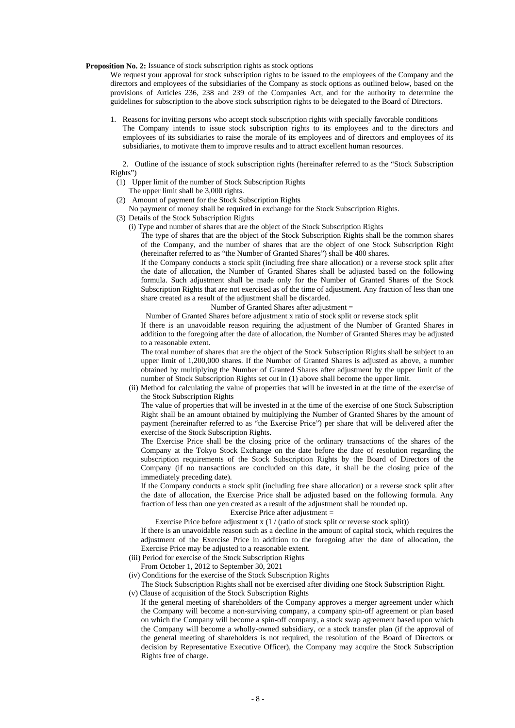**Proposition No. 2:** Issuance of stock subscription rights as stock options

We request your approval for stock subscription rights to be issued to the employees of the Company and the directors and employees of the subsidiaries of the Company as stock options as outlined below, based on the provisions of Articles 236, 238 and 239 of the Companies Act, and for the authority to determine the guidelines for subscription to the above stock subscription rights to be delegated to the Board of Directors.

1. Reasons for inviting persons who accept stock subscription rights with specially favorable conditions The Company intends to issue stock subscription rights to its employees and to the directors and employees of its subsidiaries to raise the morale of its employees and of directors and employees of its subsidiaries, to motivate them to improve results and to attract excellent human resources.

2. Outline of the issuance of stock subscription rights (hereinafter referred to as the "Stock Subscription Rights")

- (1) Upper limit of the number of Stock Subscription Rights
	- The upper limit shall be 3,000 rights.
- (2) Amount of payment for the Stock Subscription Rights
- No payment of money shall be required in exchange for the Stock Subscription Rights.
- (3) Details of the Stock Subscription Rights
	- (i) Type and number of shares that are the object of the Stock Subscription Rights

The type of shares that are the object of the Stock Subscription Rights shall be the common shares of the Company, and the number of shares that are the object of one Stock Subscription Right (hereinafter referred to as "the Number of Granted Shares") shall be 400 shares.

If the Company conducts a stock split (including free share allocation) or a reverse stock split after the date of allocation, the Number of Granted Shares shall be adjusted based on the following formula. Such adjustment shall be made only for the Number of Granted Shares of the Stock Subscription Rights that are not exercised as of the time of adjustment. Any fraction of less than one share created as a result of the adjustment shall be discarded.

Number of Granted Shares after adjustment =

Number of Granted Shares before adjustment x ratio of stock split or reverse stock split

If there is an unavoidable reason requiring the adjustment of the Number of Granted Shares in addition to the foregoing after the date of allocation, the Number of Granted Shares may be adjusted to a reasonable extent.

The total number of shares that are the object of the Stock Subscription Rights shall be subject to an upper limit of 1,200,000 shares. If the Number of Granted Shares is adjusted as above, a number obtained by multiplying the Number of Granted Shares after adjustment by the upper limit of the number of Stock Subscription Rights set out in (1) above shall become the upper limit.

(ii) Method for calculating the value of properties that will be invested in at the time of the exercise of the Stock Subscription Rights

The value of properties that will be invested in at the time of the exercise of one Stock Subscription Right shall be an amount obtained by multiplying the Number of Granted Shares by the amount of payment (hereinafter referred to as "the Exercise Price") per share that will be delivered after the exercise of the Stock Subscription Rights.

The Exercise Price shall be the closing price of the ordinary transactions of the shares of the Company at the Tokyo Stock Exchange on the date before the date of resolution regarding the subscription requirements of the Stock Subscription Rights by the Board of Directors of the Company (if no transactions are concluded on this date, it shall be the closing price of the immediately preceding date).

If the Company conducts a stock split (including free share allocation) or a reverse stock split after the date of allocation, the Exercise Price shall be adjusted based on the following formula. Any fraction of less than one yen created as a result of the adjustment shall be rounded up.

# Exercise Price after adjustment =

Exercise Price before adjustment x (1 / (ratio of stock split or reverse stock split)) If there is an unavoidable reason such as a decline in the amount of capital stock, which requires the adjustment of the Exercise Price in addition to the foregoing after the date of allocation, the Exercise Price may be adjusted to a reasonable extent.

(iii) Period for exercise of the Stock Subscription Rights

From October 1, 2012 to September 30, 2021

(iv) Conditions for the exercise of the Stock Subscription Rights

The Stock Subscription Rights shall not be exercised after dividing one Stock Subscription Right. (v) Clause of acquisition of the Stock Subscription Rights

If the general meeting of shareholders of the Company approves a merger agreement under which the Company will become a non-surviving company, a company spin-off agreement or plan based on which the Company will become a spin-off company, a stock swap agreement based upon which the Company will become a wholly-owned subsidiary, or a stock transfer plan (if the approval of the general meeting of shareholders is not required, the resolution of the Board of Directors or decision by Representative Executive Officer), the Company may acquire the Stock Subscription Rights free of charge.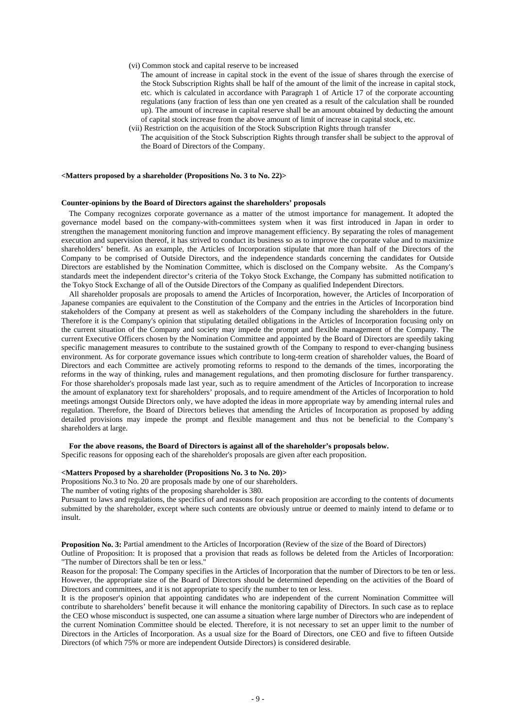### (vi) Common stock and capital reserve to be increased

- The amount of increase in capital stock in the event of the issue of shares through the exercise of the Stock Subscription Rights shall be half of the amount of the limit of the increase in capital stock, etc. which is calculated in accordance with Paragraph 1 of Article 17 of the corporate accounting regulations (any fraction of less than one yen created as a result of the calculation shall be rounded up). The amount of increase in capital reserve shall be an amount obtained by deducting the amount of capital stock increase from the above amount of limit of increase in capital stock, etc.
- (vii) Restriction on the acquisition of the Stock Subscription Rights through transfer The acquisition of the Stock Subscription Rights through transfer shall be subject to the approval of the Board of Directors of the Company.

#### **<Matters proposed by a shareholder (Propositions No. 3 to No. 22)>**

#### **Counter-opinions by the Board of Directors against the shareholders' proposals**

The Company recognizes corporate governance as a matter of the utmost importance for management. It adopted the governance model based on the company-with-committees system when it was first introduced in Japan in order to strengthen the management monitoring function and improve management efficiency. By separating the roles of management execution and supervision thereof, it has strived to conduct its business so as to improve the corporate value and to maximize shareholders' benefit. As an example, the Articles of Incorporation stipulate that more than half of the Directors of the Company to be comprised of Outside Directors, and the independence standards concerning the candidates for Outside Directors are established by the Nomination Committee, which is disclosed on the Company website. As the Company's standards meet the independent director's criteria of the Tokyo Stock Exchange, the Company has submitted notification to the Tokyo Stock Exchange of all of the Outside Directors of the Company as qualified Independent Directors.

All shareholder proposals are proposals to amend the Articles of Incorporation, however, the Articles of Incorporation of Japanese companies are equivalent to the Constitution of the Company and the entries in the Articles of Incorporation bind stakeholders of the Company at present as well as stakeholders of the Company including the shareholders in the future. Therefore it is the Company's opinion that stipulating detailed obligations in the Articles of Incorporation focusing only on the current situation of the Company and society may impede the prompt and flexible management of the Company. The current Executive Officers chosen by the Nomination Committee and appointed by the Board of Directors are speedily taking specific management measures to contribute to the sustained growth of the Company to respond to ever-changing business environment. As for corporate governance issues which contribute to long-term creation of shareholder values, the Board of Directors and each Committee are actively promoting reforms to respond to the demands of the times, incorporating the reforms in the way of thinking, rules and management regulations, and then promoting disclosure for further transparency. For those shareholder's proposals made last year, such as to require amendment of the Articles of Incorporation to increase the amount of explanatory text for shareholders' proposals, and to require amendment of the Articles of Incorporation to hold meetings amongst Outside Directors only, we have adopted the ideas in more appropriate way by amending internal rules and regulation. Therefore, the Board of Directors believes that amending the Articles of Incorporation as proposed by adding detailed provisions may impede the prompt and flexible management and thus not be beneficial to the Company's shareholders at large.

#### **For the above reasons, the Board of Directors is against all of the shareholder's proposals below.**

Specific reasons for opposing each of the shareholder's proposals are given after each proposition.

### **<Matters Proposed by a shareholder (Propositions No. 3 to No. 20)>**

Propositions No.3 to No. 20 are proposals made by one of our shareholders.

The number of voting rights of the proposing shareholder is 380.

Pursuant to laws and regulations, the specifics of and reasons for each proposition are according to the contents of documents submitted by the shareholder, except where such contents are obviously untrue or deemed to mainly intend to defame or to insult.

**Proposition No. 3:** Partial amendment to the Articles of Incorporation (Review of the size of the Board of Directors) Outline of Proposition: It is proposed that a provision that reads as follows be deleted from the Articles of Incorporation: "The number of Directors shall be ten or less."

Reason for the proposal: The Company specifies in the Articles of Incorporation that the number of Directors to be ten or less. However, the appropriate size of the Board of Directors should be determined depending on the activities of the Board of Directors and committees, and it is not appropriate to specify the number to ten or less.

It is the proposer's opinion that appointing candidates who are independent of the current Nomination Committee will contribute to shareholders' benefit because it will enhance the monitoring capability of Directors. In such case as to replace the CEO whose misconduct is suspected, one can assume a situation where large number of Directors who are independent of the current Nomination Committee should be elected. Therefore, it is not necessary to set an upper limit to the number of Directors in the Articles of Incorporation. As a usual size for the Board of Directors, one CEO and five to fifteen Outside Directors (of which 75% or more are independent Outside Directors) is considered desirable.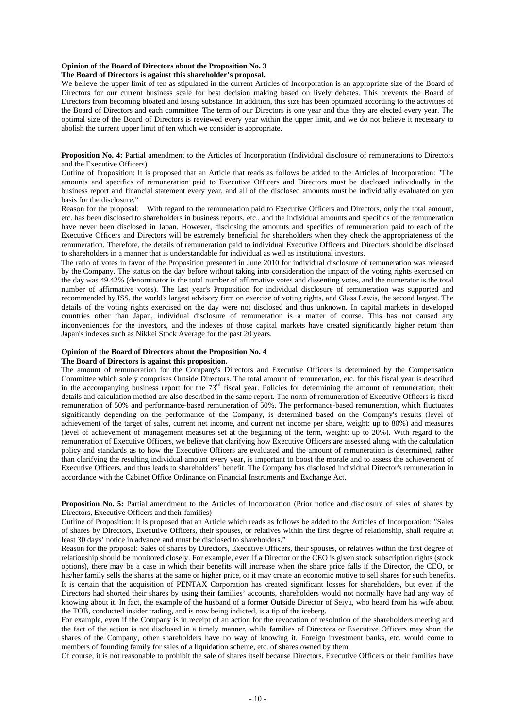# **Opinion of the Board of Directors about the Proposition No. 3**

#### **The Board of Directors is against this shareholder's proposal.**

We believe the upper limit of ten as stipulated in the current Articles of Incorporation is an appropriate size of the Board of Directors for our current business scale for best decision making based on lively debates. This prevents the Board of Directors from becoming bloated and losing substance. In addition, this size has been optimized according to the activities of the Board of Directors and each committee. The term of our Directors is one year and thus they are elected every year. The optimal size of the Board of Directors is reviewed every year within the upper limit, and we do not believe it necessary to abolish the current upper limit of ten which we consider is appropriate.

**Proposition No. 4:** Partial amendment to the Articles of Incorporation (Individual disclosure of remunerations to Directors and the Executive Officers)

Outline of Proposition: It is proposed that an Article that reads as follows be added to the Articles of Incorporation: "The amounts and specifics of remuneration paid to Executive Officers and Directors must be disclosed individually in the business report and financial statement every year, and all of the disclosed amounts must be individually evaluated on yen basis for the disclosure."

Reason for the proposal: With regard to the remuneration paid to Executive Officers and Directors, only the total amount, etc. has been disclosed to shareholders in business reports, etc., and the individual amounts and specifics of the remuneration have never been disclosed in Japan. However, disclosing the amounts and specifics of remuneration paid to each of the Executive Officers and Directors will be extremely beneficial for shareholders when they check the appropriateness of the remuneration. Therefore, the details of remuneration paid to individual Executive Officers and Directors should be disclosed to shareholders in a manner that is understandable for individual as well as institutional investors.

The ratio of votes in favor of the Proposition presented in June 2010 for individual disclosure of remuneration was released by the Company. The status on the day before without taking into consideration the impact of the voting rights exercised on the day was 49.42% (denominator is the total number of affirmative votes and dissenting votes, and the numerator is the total number of affirmative votes). The last year's Proposition for individual disclosure of remuneration was supported and recommended by ISS, the world's largest advisory firm on exercise of voting rights, and Glass Lewis, the second largest. The details of the voting rights exercised on the day were not disclosed and thus unknown. In capital markets in developed countries other than Japan, individual disclosure of remuneration is a matter of course. This has not caused any inconveniences for the investors, and the indexes of those capital markets have created significantly higher return than Japan's indexes such as Nikkei Stock Average for the past 20 years.

### **Opinion of the Board of Directors about the Proposition No. 4**

# **The Board of Directors is against this proposition.**

The amount of remuneration for the Company's Directors and Executive Officers is determined by the Compensation Committee which solely comprises Outside Directors. The total amount of remuneration, etc. for this fiscal year is described in the accompanying business report for the 73<sup>rd</sup> fiscal year. Policies for determining the amount of remuneration, their details and calculation method are also described in the same report. The norm of remuneration of Executive Officers is fixed remuneration of 50% and performance-based remuneration of 50%. The performance-based remuneration, which fluctuates significantly depending on the performance of the Company, is determined based on the Company's results (level of achievement of the target of sales, current net income, and current net income per share, weight: up to 80%) and measures (level of achievement of management measures set at the beginning of the term, weight: up to 20%). With regard to the remuneration of Executive Officers, we believe that clarifying how Executive Officers are assessed along with the calculation policy and standards as to how the Executive Officers are evaluated and the amount of remuneration is determined, rather than clarifying the resulting individual amount every year, is important to boost the morale and to assess the achievement of Executive Officers, and thus leads to shareholders' benefit. The Company has disclosed individual Director's remuneration in accordance with the Cabinet Office Ordinance on Financial Instruments and Exchange Act.

**Proposition No. 5:** Partial amendment to the Articles of Incorporation (Prior notice and disclosure of sales of shares by Directors, Executive Officers and their families)

Outline of Proposition: It is proposed that an Article which reads as follows be added to the Articles of Incorporation: "Sales of shares by Directors, Executive Officers, their spouses, or relatives within the first degree of relationship, shall require at least 30 days' notice in advance and must be disclosed to shareholders."

Reason for the proposal: Sales of shares by Directors, Executive Officers, their spouses, or relatives within the first degree of relationship should be monitored closely. For example, even if a Director or the CEO is given stock subscription rights (stock options), there may be a case in which their benefits will increase when the share price falls if the Director, the CEO, or his/her family sells the shares at the same or higher price, or it may create an economic motive to sell shares for such benefits. It is certain that the acquisition of PENTAX Corporation has created significant losses for shareholders, but even if the Directors had shorted their shares by using their families' accounts, shareholders would not normally have had any way of knowing about it. In fact, the example of the husband of a former Outside Director of Seiyu, who heard from his wife about the TOB, conducted insider trading, and is now being indicted, is a tip of the iceberg.

For example, even if the Company is in receipt of an action for the revocation of resolution of the shareholders meeting and the fact of the action is not disclosed in a timely manner, while families of Directors or Executive Officers may short the shares of the Company, other shareholders have no way of knowing it. Foreign investment banks, etc. would come to members of founding family for sales of a liquidation scheme, etc. of shares owned by them.

Of course, it is not reasonable to prohibit the sale of shares itself because Directors, Executive Officers or their families have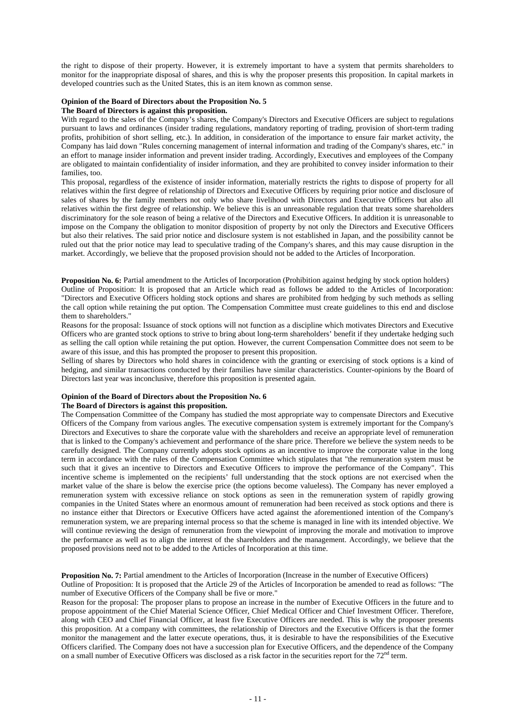the right to dispose of their property. However, it is extremely important to have a system that permits shareholders to monitor for the inappropriate disposal of shares, and this is why the proposer presents this proposition. In capital markets in developed countries such as the United States, this is an item known as common sense.

#### **Opinion of the Board of Directors about the Proposition No. 5**

# **The Board of Directors is against this proposition.**

With regard to the sales of the Company's shares, the Company's Directors and Executive Officers are subject to regulations pursuant to laws and ordinances (insider trading regulations, mandatory reporting of trading, provision of short-term trading profits, prohibition of short selling, etc.). In addition, in consideration of the importance to ensure fair market activity, the Company has laid down "Rules concerning management of internal information and trading of the Company's shares, etc." in an effort to manage insider information and prevent insider trading. Accordingly, Executives and employees of the Company are obligated to maintain confidentiality of insider information, and they are prohibited to convey insider information to their families, too.

This proposal, regardless of the existence of insider information, materially restricts the rights to dispose of property for all relatives within the first degree of relationship of Directors and Executive Officers by requiring prior notice and disclosure of sales of shares by the family members not only who share livelihood with Directors and Executive Officers but also all relatives within the first degree of relationship. We believe this is an unreasonable regulation that treats some shareholders discriminatory for the sole reason of being a relative of the Directors and Executive Officers. In addition it is unreasonable to impose on the Company the obligation to monitor disposition of property by not only the Directors and Executive Officers but also their relatives. The said prior notice and disclosure system is not established in Japan, and the possibility cannot be ruled out that the prior notice may lead to speculative trading of the Company's shares, and this may cause disruption in the market. Accordingly, we believe that the proposed provision should not be added to the Articles of Incorporation.

**Proposition No. 6:** Partial amendment to the Articles of Incorporation (Prohibition against hedging by stock option holders) Outline of Proposition: It is proposed that an Article which read as follows be added to the Articles of Incorporation: "Directors and Executive Officers holding stock options and shares are prohibited from hedging by such methods as selling the call option while retaining the put option. The Compensation Committee must create guidelines to this end and disclose them to shareholders."

Reasons for the proposal: Issuance of stock options will not function as a discipline which motivates Directors and Executive Officers who are granted stock options to strive to bring about long-term shareholders' benefit if they undertake hedging such as selling the call option while retaining the put option. However, the current Compensation Committee does not seem to be aware of this issue, and this has prompted the proposer to present this proposition.

Selling of shares by Directors who hold shares in coincidence with the granting or exercising of stock options is a kind of hedging, and similar transactions conducted by their families have similar characteristics. Counter-opinions by the Board of Directors last year was inconclusive, therefore this proposition is presented again.

# **Opinion of the Board of Directors about the Proposition No. 6**

# **The Board of Directors is against this proposition.**

The Compensation Committee of the Company has studied the most appropriate way to compensate Directors and Executive Officers of the Company from various angles. The executive compensation system is extremely important for the Company's Directors and Executives to share the corporate value with the shareholders and receive an appropriate level of remuneration that is linked to the Company's achievement and performance of the share price. Therefore we believe the system needs to be carefully designed. The Company currently adopts stock options as an incentive to improve the corporate value in the long term in accordance with the rules of the Compensation Committee which stipulates that "the remuneration system must be such that it gives an incentive to Directors and Executive Officers to improve the performance of the Company". This incentive scheme is implemented on the recipients' full understanding that the stock options are not exercised when the market value of the share is below the exercise price (the options become valueless). The Company has never employed a remuneration system with excessive reliance on stock options as seen in the remuneration system of rapidly growing companies in the United States where an enormous amount of remuneration had been received as stock options and there is no instance either that Directors or Executive Officers have acted against the aforementioned intention of the Company's remuneration system, we are preparing internal process so that the scheme is managed in line with its intended objective. We will continue reviewing the design of remuneration from the viewpoint of improving the morale and motivation to improve the performance as well as to align the interest of the shareholders and the management. Accordingly, we believe that the proposed provisions need not to be added to the Articles of Incorporation at this time.

**Proposition No. 7:** Partial amendment to the Articles of Incorporation (Increase in the number of Executive Officers) Outline of Proposition: It is proposed that the Article 29 of the Articles of Incorporation be amended to read as follows: "The number of Executive Officers of the Company shall be five or more."

Reason for the proposal: The proposer plans to propose an increase in the number of Executive Officers in the future and to propose appointment of the Chief Material Science Officer, Chief Medical Officer and Chief Investment Officer. Therefore, along with CEO and Chief Financial Officer, at least five Executive Officers are needed. This is why the proposer presents this proposition. At a company with committees, the relationship of Directors and the Executive Officers is that the former monitor the management and the latter execute operations, thus, it is desirable to have the responsibilities of the Executive Officers clarified. The Company does not have a succession plan for Executive Officers, and the dependence of the Company on a small number of Executive Officers was disclosed as a risk factor in the securities report for the 72<sup>nd</sup> term.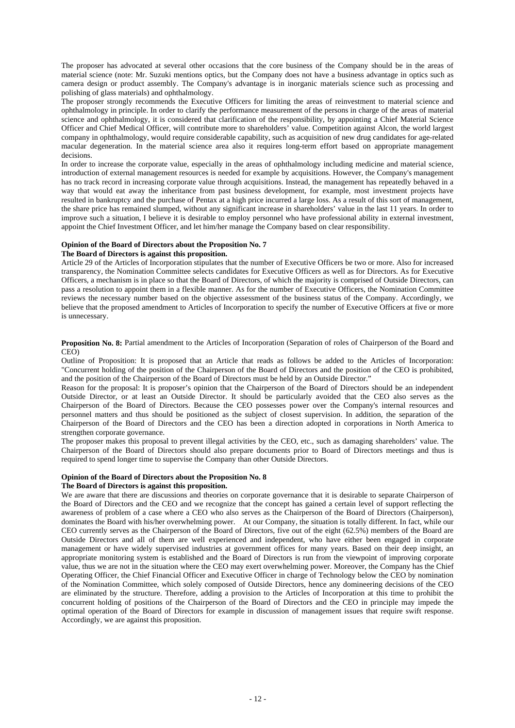The proposer has advocated at several other occasions that the core business of the Company should be in the areas of material science (note: Mr. Suzuki mentions optics, but the Company does not have a business advantage in optics such as camera design or product assembly. The Company's advantage is in inorganic materials science such as processing and polishing of glass materials) and ophthalmology.

The proposer strongly recommends the Executive Officers for limiting the areas of reinvestment to material science and ophthalmology in principle. In order to clarify the performance measurement of the persons in charge of the areas of material science and ophthalmology, it is considered that clarification of the responsibility, by appointing a Chief Material Science Officer and Chief Medical Officer, will contribute more to shareholders' value. Competition against Alcon, the world largest company in ophthalmology, would require considerable capability, such as acquisition of new drug candidates for age-related macular degeneration. In the material science area also it requires long-term effort based on appropriate management decisions.

In order to increase the corporate value, especially in the areas of ophthalmology including medicine and material science, introduction of external management resources is needed for example by acquisitions. However, the Company's management has no track record in increasing corporate value through acquisitions. Instead, the management has repeatedly behaved in a way that would eat away the inheritance from past business development, for example, most investment projects have resulted in bankruptcy and the purchase of Pentax at a high price incurred a large loss. As a result of this sort of management, the share price has remained slumped, without any significant increase in shareholders' value in the last 11 years. In order to improve such a situation, I believe it is desirable to employ personnel who have professional ability in external investment, appoint the Chief Investment Officer, and let him/her manage the Company based on clear responsibility.

# **Opinion of the Board of Directors about the Proposition No. 7**

# **The Board of Directors is against this proposition.**

Article 29 of the Articles of Incorporation stipulates that the number of Executive Officers be two or more. Also for increased transparency, the Nomination Committee selects candidates for Executive Officers as well as for Directors. As for Executive Officers, a mechanism is in place so that the Board of Directors, of which the majority is comprised of Outside Directors, can pass a resolution to appoint them in a flexible manner. As for the number of Executive Officers, the Nomination Committee reviews the necessary number based on the objective assessment of the business status of the Company. Accordingly, we believe that the proposed amendment to Articles of Incorporation to specify the number of Executive Officers at five or more is unnecessary.

**Proposition No. 8:** Partial amendment to the Articles of Incorporation (Separation of roles of Chairperson of the Board and CEO)

Outline of Proposition: It is proposed that an Article that reads as follows be added to the Articles of Incorporation: "Concurrent holding of the position of the Chairperson of the Board of Directors and the position of the CEO is prohibited, and the position of the Chairperson of the Board of Directors must be held by an Outside Director."

Reason for the proposal: It is proposer's opinion that the Chairperson of the Board of Directors should be an independent Outside Director, or at least an Outside Director. It should be particularly avoided that the CEO also serves as the Chairperson of the Board of Directors. Because the CEO possesses power over the Company's internal resources and personnel matters and thus should be positioned as the subject of closest supervision. In addition, the separation of the Chairperson of the Board of Directors and the CEO has been a direction adopted in corporations in North America to strengthen corporate governance.

The proposer makes this proposal to prevent illegal activities by the CEO, etc., such as damaging shareholders' value. The Chairperson of the Board of Directors should also prepare documents prior to Board of Directors meetings and thus is required to spend longer time to supervise the Company than other Outside Directors.

#### **Opinion of the Board of Directors about the Proposition No. 8**

# **The Board of Directors is against this proposition.**

We are aware that there are discussions and theories on corporate governance that it is desirable to separate Chairperson of the Board of Directors and the CEO and we recognize that the concept has gained a certain level of support reflecting the awareness of problem of a case where a CEO who also serves as the Chairperson of the Board of Directors (Chairperson), dominates the Board with his/her overwhelming power. At our Company, the situation is totally different. In fact, while our CEO currently serves as the Chairperson of the Board of Directors, five out of the eight (62.5%) members of the Board are Outside Directors and all of them are well experienced and independent, who have either been engaged in corporate management or have widely supervised industries at government offices for many years. Based on their deep insight, an appropriate monitoring system is established and the Board of Directors is run from the viewpoint of improving corporate value, thus we are not in the situation where the CEO may exert overwhelming power. Moreover, the Company has the Chief Operating Officer, the Chief Financial Officer and Executive Officer in charge of Technology below the CEO by nomination of the Nomination Committee, which solely composed of Outside Directors, hence any domineering decisions of the CEO are eliminated by the structure. Therefore, adding a provision to the Articles of Incorporation at this time to prohibit the concurrent holding of positions of the Chairperson of the Board of Directors and the CEO in principle may impede the optimal operation of the Board of Directors for example in discussion of management issues that require swift response. Accordingly, we are against this proposition.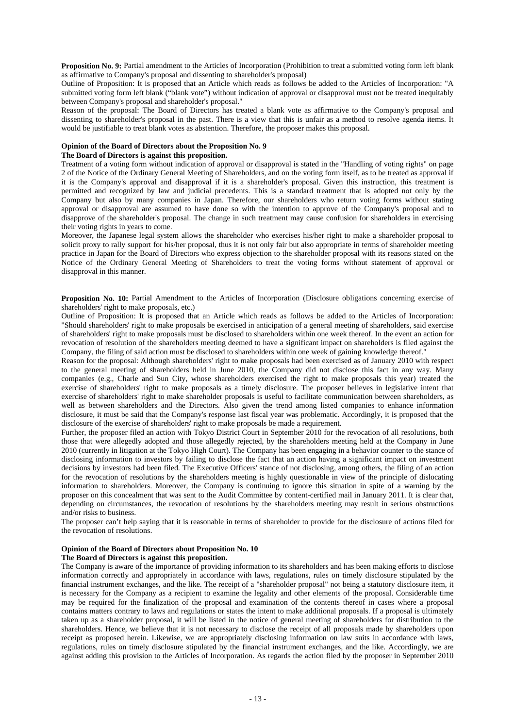**Proposition No. 9:** Partial amendment to the Articles of Incorporation (Prohibition to treat a submitted voting form left blank as affirmative to Company's proposal and dissenting to shareholder's proposal)

Outline of Proposition: It is proposed that an Article which reads as follows be added to the Articles of Incorporation: "A submitted voting form left blank ("blank vote") without indication of approval or disapproval must not be treated inequitably between Company's proposal and shareholder's proposal."

Reason of the proposal: The Board of Directors has treated a blank vote as affirmative to the Company's proposal and dissenting to shareholder's proposal in the past. There is a view that this is unfair as a method to resolve agenda items. It would be justifiable to treat blank votes as abstention. Therefore, the proposer makes this proposal.

# **Opinion of the Board of Directors about the Proposition No. 9**

# **The Board of Directors is against this proposition.**

Treatment of a voting form without indication of approval or disapproval is stated in the "Handling of voting rights" on page 2 of the Notice of the Ordinary General Meeting of Shareholders, and on the voting form itself, as to be treated as approval if it is the Company's approval and disapproval if it is a shareholder's proposal. Given this instruction, this treatment is permitted and recognized by law and judicial precedents. This is a standard treatment that is adopted not only by the Company but also by many companies in Japan. Therefore, our shareholders who return voting forms without stating approval or disapproval are assumed to have done so with the intention to approve of the Company's proposal and to disapprove of the shareholder's proposal. The change in such treatment may cause confusion for shareholders in exercising their voting rights in years to come.

Moreover, the Japanese legal system allows the shareholder who exercises his/her right to make a shareholder proposal to solicit proxy to rally support for his/her proposal, thus it is not only fair but also appropriate in terms of shareholder meeting practice in Japan for the Board of Directors who express objection to the shareholder proposal with its reasons stated on the Notice of the Ordinary General Meeting of Shareholders to treat the voting forms without statement of approval or disapproval in this manner.

**Proposition No. 10:** Partial Amendment to the Articles of Incorporation (Disclosure obligations concerning exercise of shareholders' right to make proposals, etc.)

Outline of Proposition: It is proposed that an Article which reads as follows be added to the Articles of Incorporation: "Should shareholders' right to make proposals be exercised in anticipation of a general meeting of shareholders, said exercise of shareholders' right to make proposals must be disclosed to shareholders within one week thereof. In the event an action for revocation of resolution of the shareholders meeting deemed to have a significant impact on shareholders is filed against the Company, the filing of said action must be disclosed to shareholders within one week of gaining knowledge thereof."

Reason for the proposal: Although shareholders' right to make proposals had been exercised as of January 2010 with respect to the general meeting of shareholders held in June 2010, the Company did not disclose this fact in any way. Many companies (e.g., Charle and Sun City, whose shareholders exercised the right to make proposals this year) treated the exercise of shareholders' right to make proposals as a timely disclosure. The proposer believes in legislative intent that exercise of shareholders' right to make shareholder proposals is useful to facilitate communication between shareholders, as well as between shareholders and the Directors. Also given the trend among listed companies to enhance information disclosure, it must be said that the Company's response last fiscal year was problematic. Accordingly, it is proposed that the disclosure of the exercise of shareholders' right to make proposals be made a requirement.

Further, the proposer filed an action with Tokyo District Court in September 2010 for the revocation of all resolutions, both those that were allegedly adopted and those allegedly rejected, by the shareholders meeting held at the Company in June 2010 (currently in litigation at the Tokyo High Court). The Company has been engaging in a behavior counter to the stance of disclosing information to investors by failing to disclose the fact that an action having a significant impact on investment decisions by investors had been filed. The Executive Officers' stance of not disclosing, among others, the filing of an action for the revocation of resolutions by the shareholders meeting is highly questionable in view of the principle of dislocating information to shareholders. Moreover, the Company is continuing to ignore this situation in spite of a warning by the proposer on this concealment that was sent to the Audit Committee by content-certified mail in January 2011. It is clear that, depending on circumstances, the revocation of resolutions by the shareholders meeting may result in serious obstructions and/or risks to business.

The proposer can't help saying that it is reasonable in terms of shareholder to provide for the disclosure of actions filed for the revocation of resolutions.

#### **Opinion of the Board of Directors about Proposition No. 10**

### **The Board of Directors is against this proposition.**

The Company is aware of the importance of providing information to its shareholders and has been making efforts to disclose information correctly and appropriately in accordance with laws, regulations, rules on timely disclosure stipulated by the financial instrument exchanges, and the like. The receipt of a "shareholder proposal" not being a statutory disclosure item, it is necessary for the Company as a recipient to examine the legality and other elements of the proposal. Considerable time may be required for the finalization of the proposal and examination of the contents thereof in cases where a proposal contains matters contrary to laws and regulations or states the intent to make additional proposals. If a proposal is ultimately taken up as a shareholder proposal, it will be listed in the notice of general meeting of shareholders for distribution to the shareholders. Hence, we believe that it is not necessary to disclose the receipt of all proposals made by shareholders upon receipt as proposed herein. Likewise, we are appropriately disclosing information on law suits in accordance with laws, regulations, rules on timely disclosure stipulated by the financial instrument exchanges, and the like. Accordingly, we are against adding this provision to the Articles of Incorporation. As regards the action filed by the proposer in September 2010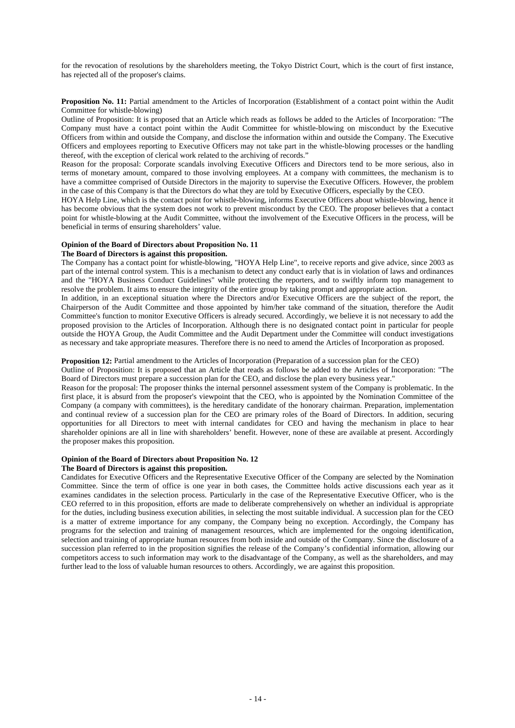for the revocation of resolutions by the shareholders meeting, the Tokyo District Court, which is the court of first instance, has rejected all of the proposer's claims.

**Proposition No. 11:** Partial amendment to the Articles of Incorporation (Establishment of a contact point within the Audit Committee for whistle-blowing)

Outline of Proposition: It is proposed that an Article which reads as follows be added to the Articles of Incorporation: "The Company must have a contact point within the Audit Committee for whistle-blowing on misconduct by the Executive Officers from within and outside the Company, and disclose the information within and outside the Company. The Executive Officers and employees reporting to Executive Officers may not take part in the whistle-blowing processes or the handling thereof, with the exception of clerical work related to the archiving of records."

Reason for the proposal: Corporate scandals involving Executive Officers and Directors tend to be more serious, also in terms of monetary amount, compared to those involving employees. At a company with committees, the mechanism is to have a committee comprised of Outside Directors in the majority to supervise the Executive Officers. However, the problem in the case of this Company is that the Directors do what they are told by Executive Officers, especially by the CEO.

HOYA Help Line, which is the contact point for whistle-blowing, informs Executive Officers about whistle-blowing, hence it has become obvious that the system does not work to prevent misconduct by the CEO. The proposer believes that a contact point for whistle-blowing at the Audit Committee, without the involvement of the Executive Officers in the process, will be beneficial in terms of ensuring shareholders' value.

# **Opinion of the Board of Directors about Proposition No. 11**

# **The Board of Directors is against this proposition.**

The Company has a contact point for whistle-blowing, "HOYA Help Line", to receive reports and give advice, since 2003 as part of the internal control system. This is a mechanism to detect any conduct early that is in violation of laws and ordinances and the "HOYA Business Conduct Guidelines" while protecting the reporters, and to swiftly inform top management to resolve the problem. It aims to ensure the integrity of the entire group by taking prompt and appropriate action.

In addition, in an exceptional situation where the Directors and/or Executive Officers are the subject of the report, the Chairperson of the Audit Committee and those appointed by him/her take command of the situation, therefore the Audit Committee's function to monitor Executive Officers is already secured. Accordingly, we believe it is not necessary to add the proposed provision to the Articles of Incorporation. Although there is no designated contact point in particular for people outside the HOYA Group, the Audit Committee and the Audit Department under the Committee will conduct investigations as necessary and take appropriate measures. Therefore there is no need to amend the Articles of Incorporation as proposed.

**Proposition 12:** Partial amendment to the Articles of Incorporation (Preparation of a succession plan for the CEO)

Outline of Proposition: It is proposed that an Article that reads as follows be added to the Articles of Incorporation: "The Board of Directors must prepare a succession plan for the CEO, and disclose the plan every business year."

Reason for the proposal: The proposer thinks the internal personnel assessment system of the Company is problematic. In the first place, it is absurd from the proposer's viewpoint that the CEO, who is appointed by the Nomination Committee of the Company (a company with committees), is the hereditary candidate of the honorary chairman. Preparation, implementation and continual review of a succession plan for the CEO are primary roles of the Board of Directors. In addition, securing opportunities for all Directors to meet with internal candidates for CEO and having the mechanism in place to hear shareholder opinions are all in line with shareholders' benefit. However, none of these are available at present. Accordingly the proposer makes this proposition.

# **Opinion of the Board of Directors about Proposition No. 12**

# **The Board of Directors is against this proposition.**

Candidates for Executive Officers and the Representative Executive Officer of the Company are selected by the Nomination Committee. Since the term of office is one year in both cases, the Committee holds active discussions each year as it examines candidates in the selection process. Particularly in the case of the Representative Executive Officer, who is the CEO referred to in this proposition, efforts are made to deliberate comprehensively on whether an individual is appropriate for the duties, including business execution abilities, in selecting the most suitable individual. A succession plan for the CEO is a matter of extreme importance for any company, the Company being no exception. Accordingly, the Company has programs for the selection and training of management resources, which are implemented for the ongoing identification, selection and training of appropriate human resources from both inside and outside of the Company. Since the disclosure of a succession plan referred to in the proposition signifies the release of the Company's confidential information, allowing our competitors access to such information may work to the disadvantage of the Company, as well as the shareholders, and may further lead to the loss of valuable human resources to others. Accordingly, we are against this proposition.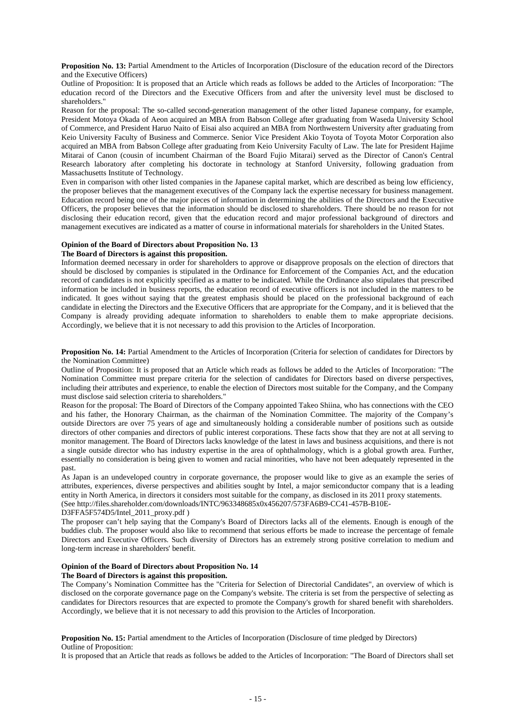**Proposition No. 13:** Partial Amendment to the Articles of Incorporation (Disclosure of the education record of the Directors and the Executive Officers)

Outline of Proposition: It is proposed that an Article which reads as follows be added to the Articles of Incorporation: "The education record of the Directors and the Executive Officers from and after the university level must be disclosed to shareholders."

Reason for the proposal: The so-called second-generation management of the other listed Japanese company, for example, President Motoya Okada of Aeon acquired an MBA from Babson College after graduating from Waseda University School of Commerce, and President Haruo Naito of Eisai also acquired an MBA from Northwestern University after graduating from Keio University Faculty of Business and Commerce. Senior Vice President Akio Toyota of Toyota Motor Corporation also acquired an MBA from Babson College after graduating from Keio University Faculty of Law. The late for President Hajime Mitarai of Canon (cousin of incumbent Chairman of the Board Fujio Mitarai) served as the Director of Canon's Central Research laboratory after completing his doctorate in technology at Stanford University, following graduation from Massachusetts Institute of Technology.

Even in comparison with other listed companies in the Japanese capital market, which are described as being low efficiency, the proposer believes that the management executives of the Company lack the expertise necessary for business management. Education record being one of the major pieces of information in determining the abilities of the Directors and the Executive Officers, the proposer believes that the information should be disclosed to shareholders. There should be no reason for not disclosing their education record, given that the education record and major professional background of directors and management executives are indicated as a matter of course in informational materials for shareholders in the United States.

# **Opinion of the Board of Directors about Proposition No. 13**

# **The Board of Directors is against this proposition.**

Information deemed necessary in order for shareholders to approve or disapprove proposals on the election of directors that should be disclosed by companies is stipulated in the Ordinance for Enforcement of the Companies Act, and the education record of candidates is not explicitly specified as a matter to be indicated. While the Ordinance also stipulates that prescribed information be included in business reports, the education record of executive officers is not included in the matters to be indicated. It goes without saying that the greatest emphasis should be placed on the professional background of each candidate in electing the Directors and the Executive Officers that are appropriate for the Company, and it is believed that the Company is already providing adequate information to shareholders to enable them to make appropriate decisions. Accordingly, we believe that it is not necessary to add this provision to the Articles of Incorporation.

**Proposition No. 14:** Partial Amendment to the Articles of Incorporation (Criteria for selection of candidates for Directors by the Nomination Committee)

Outline of Proposition: It is proposed that an Article which reads as follows be added to the Articles of Incorporation: "The Nomination Committee must prepare criteria for the selection of candidates for Directors based on diverse perspectives, including their attributes and experience, to enable the election of Directors most suitable for the Company, and the Company must disclose said selection criteria to shareholders."

Reason for the proposal: The Board of Directors of the Company appointed Takeo Shiina, who has connections with the CEO and his father, the Honorary Chairman, as the chairman of the Nomination Committee. The majority of the Company's outside Directors are over 75 years of age and simultaneously holding a considerable number of positions such as outside directors of other companies and directors of public interest corporations. These facts show that they are not at all serving to monitor management. The Board of Directors lacks knowledge of the latest in laws and business acquisitions, and there is not a single outside director who has industry expertise in the area of ophthalmology, which is a global growth area. Further, essentially no consideration is being given to women and racial minorities, who have not been adequately represented in the past.

As Japan is an undeveloped country in corporate governance, the proposer would like to give as an example the series of attributes, experiences, diverse perspectives and abilities sought by Intel, a major semiconductor company that is a leading entity in North America, in directors it considers most suitable for the company, as disclosed in its 2011 proxy statements. (See http://files.shareholder.com/downloads/INTC/963348685x0x456207/573FA6B9-CC41-457B-B10E-

### D3FFA5F574D5/Intel\_2011\_proxy.pdf )

The proposer can't help saying that the Company's Board of Directors lacks all of the elements. Enough is enough of the buddies club. The proposer would also like to recommend that serious efforts be made to increase the percentage of female Directors and Executive Officers. Such diversity of Directors has an extremely strong positive correlation to medium and long-term increase in shareholders' benefit.

# **Opinion of the Board of Directors about Proposition No. 14**

# **The Board of Directors is against this proposition.**

The Company's Nomination Committee has the "Criteria for Selection of Directorial Candidates", an overview of which is disclosed on the corporate governance page on the Company's website. The criteria is set from the perspective of selecting as candidates for Directors resources that are expected to promote the Company's growth for shared benefit with shareholders. Accordingly, we believe that it is not necessary to add this provision to the Articles of Incorporation.

**Proposition No. 15:** Partial amendment to the Articles of Incorporation (Disclosure of time pledged by Directors) Outline of Proposition:

It is proposed that an Article that reads as follows be added to the Articles of Incorporation: "The Board of Directors shall set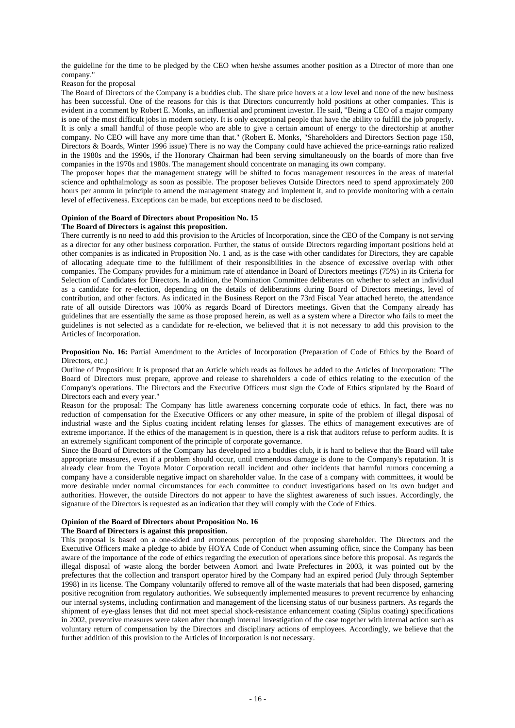the guideline for the time to be pledged by the CEO when he/she assumes another position as a Director of more than one company."

Reason for the proposal

The Board of Directors of the Company is a buddies club. The share price hovers at a low level and none of the new business has been successful. One of the reasons for this is that Directors concurrently hold positions at other companies. This is evident in a comment by Robert E. Monks, an influential and prominent investor. He said, "Being a CEO of a major company is one of the most difficult jobs in modern society. It is only exceptional people that have the ability to fulfill the job properly. It is only a small handful of those people who are able to give a certain amount of energy to the directorship at another company. No CEO will have any more time than that." (Robert E. Monks, "Shareholders and Directors Section page 158, Directors & Boards, Winter 1996 issue) There is no way the Company could have achieved the price-earnings ratio realized in the 1980s and the 1990s, if the Honorary Chairman had been serving simultaneously on the boards of more than five companies in the 1970s and 1980s. The management should concentrate on managing its own company.

The proposer hopes that the management strategy will be shifted to focus management resources in the areas of material science and ophthalmology as soon as possible. The proposer believes Outside Directors need to spend approximately 200 hours per annum in principle to amend the management strategy and implement it, and to provide monitoring with a certain level of effectiveness. Exceptions can be made, but exceptions need to be disclosed.

# **Opinion of the Board of Directors about Proposition No. 15**

#### **The Board of Directors is against this proposition.**

There currently is no need to add this provision to the Articles of Incorporation, since the CEO of the Company is not serving as a director for any other business corporation. Further, the status of outside Directors regarding important positions held at other companies is as indicated in Proposition No. 1 and, as is the case with other candidates for Directors, they are capable of allocating adequate time to the fulfillment of their responsibilities in the absence of excessive overlap with other companies. The Company provides for a minimum rate of attendance in Board of Directors meetings (75%) in its Criteria for Selection of Candidates for Directors. In addition, the Nomination Committee deliberates on whether to select an individual as a candidate for re-election, depending on the details of deliberations during Board of Directors meetings, level of contribution, and other factors. As indicated in the Business Report on the 73rd Fiscal Year attached hereto, the attendance rate of all outside Directors was 100% as regards Board of Directors meetings. Given that the Company already has guidelines that are essentially the same as those proposed herein, as well as a system where a Director who fails to meet the guidelines is not selected as a candidate for re-election, we believed that it is not necessary to add this provision to the Articles of Incorporation.

**Proposition No. 16:** Partial Amendment to the Articles of Incorporation (Preparation of Code of Ethics by the Board of Directors, etc.)

Outline of Proposition: It is proposed that an Article which reads as follows be added to the Articles of Incorporation: "The Board of Directors must prepare, approve and release to shareholders a code of ethics relating to the execution of the Company's operations. The Directors and the Executive Officers must sign the Code of Ethics stipulated by the Board of Directors each and every year."

Reason for the proposal: The Company has little awareness concerning corporate code of ethics. In fact, there was no reduction of compensation for the Executive Officers or any other measure, in spite of the problem of illegal disposal of industrial waste and the Siplus coating incident relating lenses for glasses. The ethics of management executives are of extreme importance. If the ethics of the management is in question, there is a risk that auditors refuse to perform audits. It is an extremely significant component of the principle of corporate governance.

Since the Board of Directors of the Company has developed into a buddies club, it is hard to believe that the Board will take appropriate measures, even if a problem should occur, until tremendous damage is done to the Company's reputation. It is already clear from the Toyota Motor Corporation recall incident and other incidents that harmful rumors concerning a company have a considerable negative impact on shareholder value. In the case of a company with committees, it would be more desirable under normal circumstances for each committee to conduct investigations based on its own budget and authorities. However, the outside Directors do not appear to have the slightest awareness of such issues. Accordingly, the signature of the Directors is requested as an indication that they will comply with the Code of Ethics.

#### **Opinion of the Board of Directors about Proposition No. 16**

#### **The Board of Directors is against this proposition.**

This proposal is based on a one-sided and erroneous perception of the proposing shareholder. The Directors and the Executive Officers make a pledge to abide by HOYA Code of Conduct when assuming office, since the Company has been aware of the importance of the code of ethics regarding the execution of operations since before this proposal. As regards the illegal disposal of waste along the border between Aomori and Iwate Prefectures in 2003, it was pointed out by the prefectures that the collection and transport operator hired by the Company had an expired period (July through September 1998) in its license. The Company voluntarily offered to remove all of the waste materials that had been disposed, garnering positive recognition from regulatory authorities. We subsequently implemented measures to prevent recurrence by enhancing our internal systems, including confirmation and management of the licensing status of our business partners. As regards the shipment of eye-glass lenses that did not meet special shock-resistance enhancement coating (Siplus coating) specifications in 2002, preventive measures were taken after thorough internal investigation of the case together with internal action such as voluntary return of compensation by the Directors and disciplinary actions of employees. Accordingly, we believe that the further addition of this provision to the Articles of Incorporation is not necessary.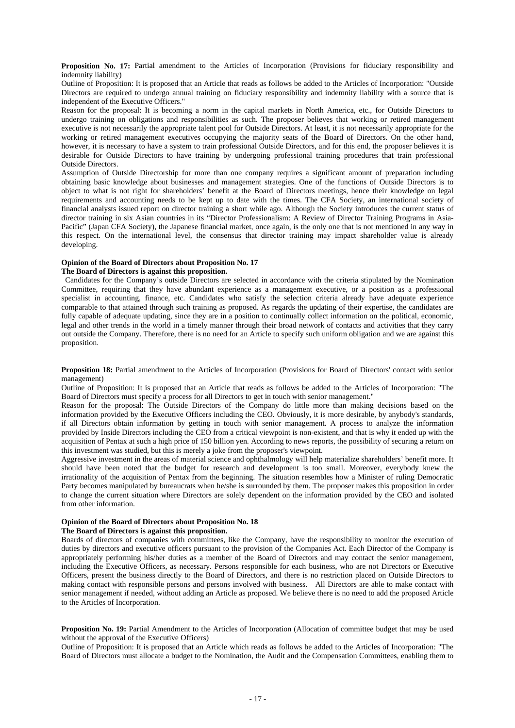**Proposition No. 17:** Partial amendment to the Articles of Incorporation (Provisions for fiduciary responsibility and indemnity liability)

Outline of Proposition: It is proposed that an Article that reads as follows be added to the Articles of Incorporation: "Outside Directors are required to undergo annual training on fiduciary responsibility and indemnity liability with a source that is independent of the Executive Officers."

Reason for the proposal: It is becoming a norm in the capital markets in North America, etc., for Outside Directors to undergo training on obligations and responsibilities as such. The proposer believes that working or retired management executive is not necessarily the appropriate talent pool for Outside Directors. At least, it is not necessarily appropriate for the working or retired management executives occupying the majority seats of the Board of Directors. On the other hand, however, it is necessary to have a system to train professional Outside Directors, and for this end, the proposer believes it is desirable for Outside Directors to have training by undergoing professional training procedures that train professional Outside Directors.

Assumption of Outside Directorship for more than one company requires a significant amount of preparation including obtaining basic knowledge about businesses and management strategies. One of the functions of Outside Directors is to object to what is not right for shareholders' benefit at the Board of Directors meetings, hence their knowledge on legal requirements and accounting needs to be kept up to date with the times. The CFA Society, an international society of financial analysts issued report on director training a short while ago. Although the Society introduces the current status of director training in six Asian countries in its "Director Professionalism: A Review of Director Training Programs in Asia-Pacific" (Japan CFA Society), the Japanese financial market, once again, is the only one that is not mentioned in any way in this respect. On the international level, the consensus that director training may impact shareholder value is already developing.

# **Opinion of the Board of Directors about Proposition No. 17**

#### **The Board of Directors is against this proposition.**

Candidates for the Company's outside Directors are selected in accordance with the criteria stipulated by the Nomination Committee, requiring that they have abundant experience as a management executive, or a position as a professional specialist in accounting, finance, etc. Candidates who satisfy the selection criteria already have adequate experience comparable to that attained through such training as proposed. As regards the updating of their expertise, the candidates are fully capable of adequate updating, since they are in a position to continually collect information on the political, economic, legal and other trends in the world in a timely manner through their broad network of contacts and activities that they carry out outside the Company. Therefore, there is no need for an Article to specify such uniform obligation and we are against this proposition.

**Proposition 18:** Partial amendment to the Articles of Incorporation (Provisions for Board of Directors' contact with senior management)

Outline of Proposition: It is proposed that an Article that reads as follows be added to the Articles of Incorporation: "The Board of Directors must specify a process for all Directors to get in touch with senior management."

Reason for the proposal: The Outside Directors of the Company do little more than making decisions based on the information provided by the Executive Officers including the CEO. Obviously, it is more desirable, by anybody's standards, if all Directors obtain information by getting in touch with senior management. A process to analyze the information provided by Inside Directors including the CEO from a critical viewpoint is non-existent, and that is why it ended up with the acquisition of Pentax at such a high price of 150 billion yen. According to news reports, the possibility of securing a return on this investment was studied, but this is merely a joke from the proposer's viewpoint.

Aggressive investment in the areas of material science and ophthalmology will help materialize shareholders' benefit more. It should have been noted that the budget for research and development is too small. Moreover, everybody knew the irrationality of the acquisition of Pentax from the beginning. The situation resembles how a Minister of ruling Democratic Party becomes manipulated by bureaucrats when he/she is surrounded by them. The proposer makes this proposition in order to change the current situation where Directors are solely dependent on the information provided by the CEO and isolated from other information.

# **Opinion of the Board of Directors about Proposition No. 18**

#### **The Board of Directors is against this proposition.**

Boards of directors of companies with committees, like the Company, have the responsibility to monitor the execution of duties by directors and executive officers pursuant to the provision of the Companies Act. Each Director of the Company is appropriately performing his/her duties as a member of the Board of Directors and may contact the senior management, including the Executive Officers, as necessary. Persons responsible for each business, who are not Directors or Executive Officers, present the business directly to the Board of Directors, and there is no restriction placed on Outside Directors to making contact with responsible persons and persons involved with business. All Directors are able to make contact with senior management if needed, without adding an Article as proposed. We believe there is no need to add the proposed Article to the Articles of Incorporation.

**Proposition No. 19:** Partial Amendment to the Articles of Incorporation (Allocation of committee budget that may be used without the approval of the Executive Officers)

Outline of Proposition: It is proposed that an Article which reads as follows be added to the Articles of Incorporation: "The Board of Directors must allocate a budget to the Nomination, the Audit and the Compensation Committees, enabling them to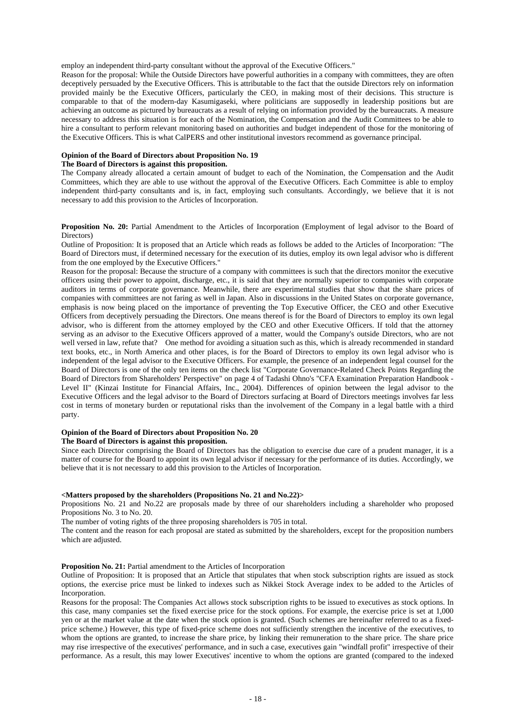employ an independent third-party consultant without the approval of the Executive Officers."

Reason for the proposal: While the Outside Directors have powerful authorities in a company with committees, they are often deceptively persuaded by the Executive Officers. This is attributable to the fact that the outside Directors rely on information provided mainly be the Executive Officers, particularly the CEO, in making most of their decisions. This structure is comparable to that of the modern-day Kasumigaseki, where politicians are supposedly in leadership positions but are achieving an outcome as pictured by bureaucrats as a result of relying on information provided by the bureaucrats. A measure necessary to address this situation is for each of the Nomination, the Compensation and the Audit Committees to be able to hire a consultant to perform relevant monitoring based on authorities and budget independent of those for the monitoring of the Executive Officers. This is what CalPERS and other institutional investors recommend as governance principal.

# **Opinion of the Board of Directors about Proposition No. 19**

#### **The Board of Directors is against this proposition.**

The Company already allocated a certain amount of budget to each of the Nomination, the Compensation and the Audit Committees, which they are able to use without the approval of the Executive Officers. Each Committee is able to employ independent third-party consultants and is, in fact, employing such consultants. Accordingly, we believe that it is not necessary to add this provision to the Articles of Incorporation.

**Proposition No. 20:** Partial Amendment to the Articles of Incorporation (Employment of legal advisor to the Board of Directors)

Outline of Proposition: It is proposed that an Article which reads as follows be added to the Articles of Incorporation: "The Board of Directors must, if determined necessary for the execution of its duties, employ its own legal advisor who is different from the one employed by the Executive Officers."

Reason for the proposal: Because the structure of a company with committees is such that the directors monitor the executive officers using their power to appoint, discharge, etc., it is said that they are normally superior to companies with corporate auditors in terms of corporate governance. Meanwhile, there are experimental studies that show that the share prices of companies with committees are not faring as well in Japan. Also in discussions in the United States on corporate governance, emphasis is now being placed on the importance of preventing the Top Executive Officer, the CEO and other Executive Officers from deceptively persuading the Directors. One means thereof is for the Board of Directors to employ its own legal advisor, who is different from the attorney employed by the CEO and other Executive Officers. If told that the attorney serving as an advisor to the Executive Officers approved of a matter, would the Company's outside Directors, who are not well versed in law, refute that? One method for avoiding a situation such as this, which is already recommended in standard text books, etc., in North America and other places, is for the Board of Directors to employ its own legal advisor who is independent of the legal advisor to the Executive Officers. For example, the presence of an independent legal counsel for the Board of Directors is one of the only ten items on the check list "Corporate Governance-Related Check Points Regarding the Board of Directors from Shareholders' Perspective" on page 4 of Tadashi Ohno's "CFA Examination Preparation Handbook - Level II" (Kinzai Institute for Financial Affairs, Inc., 2004). Differences of opinion between the legal advisor to the Executive Officers and the legal advisor to the Board of Directors surfacing at Board of Directors meetings involves far less cost in terms of monetary burden or reputational risks than the involvement of the Company in a legal battle with a third party.

# **Opinion of the Board of Directors about Proposition No. 20**

# **The Board of Directors is against this proposition.**

Since each Director comprising the Board of Directors has the obligation to exercise due care of a prudent manager, it is a matter of course for the Board to appoint its own legal advisor if necessary for the performance of its duties. Accordingly, we believe that it is not necessary to add this provision to the Articles of Incorporation.

#### **<Matters proposed by the shareholders (Propositions No. 21 and No.22)>**

Propositions No. 21 and No.22 are proposals made by three of our shareholders including a shareholder who proposed Propositions No. 3 to No. 20.

The number of voting rights of the three proposing shareholders is 705 in total.

The content and the reason for each proposal are stated as submitted by the shareholders, except for the proposition numbers which are adjusted.

#### **Proposition No. 21:** Partial amendment to the Articles of Incorporation

Outline of Proposition: It is proposed that an Article that stipulates that when stock subscription rights are issued as stock options, the exercise price must be linked to indexes such as Nikkei Stock Average index to be added to the Articles of Incorporation.

Reasons for the proposal: The Companies Act allows stock subscription rights to be issued to executives as stock options. In this case, many companies set the fixed exercise price for the stock options. For example, the exercise price is set at 1,000 yen or at the market value at the date when the stock option is granted. (Such schemes are hereinafter referred to as a fixedprice scheme.) However, this type of fixed-price scheme does not sufficiently strengthen the incentive of the executives, to whom the options are granted, to increase the share price, by linking their remuneration to the share price. The share price may rise irrespective of the executives' performance, and in such a case, executives gain "windfall profit" irrespective of their performance. As a result, this may lower Executives' incentive to whom the options are granted (compared to the indexed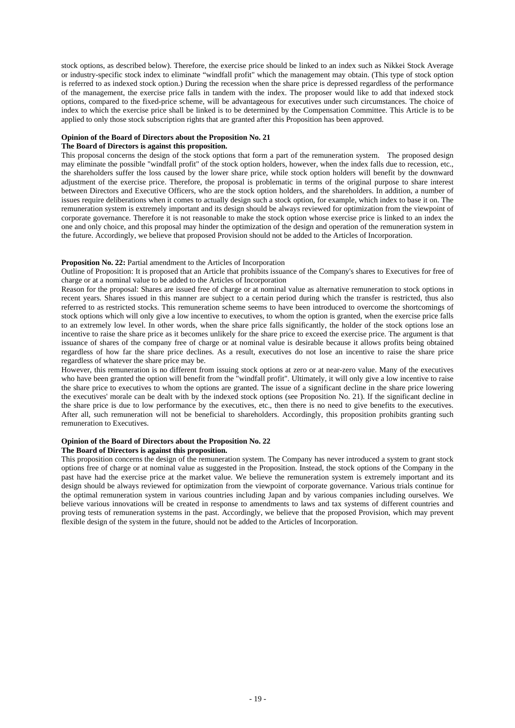stock options, as described below). Therefore, the exercise price should be linked to an index such as Nikkei Stock Average or industry-specific stock index to eliminate "windfall profit" which the management may obtain. (This type of stock option is referred to as indexed stock option.) During the recession when the share price is depressed regardless of the performance of the management, the exercise price falls in tandem with the index. The proposer would like to add that indexed stock options, compared to the fixed-price scheme, will be advantageous for executives under such circumstances. The choice of index to which the exercise price shall be linked is to be determined by the Compensation Committee. This Article is to be applied to only those stock subscription rights that are granted after this Proposition has been approved.

#### **Opinion of the Board of Directors about the Proposition No. 21**

# **The Board of Directors is against this proposition.**

This proposal concerns the design of the stock options that form a part of the remuneration system. The proposed design may eliminate the possible "windfall profit" of the stock option holders, however, when the index falls due to recession, etc., the shareholders suffer the loss caused by the lower share price, while stock option holders will benefit by the downward adjustment of the exercise price. Therefore, the proposal is problematic in terms of the original purpose to share interest between Directors and Executive Officers, who are the stock option holders, and the shareholders. In addition, a number of issues require deliberations when it comes to actually design such a stock option, for example, which index to base it on. The remuneration system is extremely important and its design should be always reviewed for optimization from the viewpoint of corporate governance. Therefore it is not reasonable to make the stock option whose exercise price is linked to an index the one and only choice, and this proposal may hinder the optimization of the design and operation of the remuneration system in the future. Accordingly, we believe that proposed Provision should not be added to the Articles of Incorporation.

#### **Proposition No. 22:** Partial amendment to the Articles of Incorporation

Outline of Proposition: It is proposed that an Article that prohibits issuance of the Company's shares to Executives for free of charge or at a nominal value to be added to the Articles of Incorporation

Reason for the proposal: Shares are issued free of charge or at nominal value as alternative remuneration to stock options in recent years. Shares issued in this manner are subject to a certain period during which the transfer is restricted, thus also referred to as restricted stocks. This remuneration scheme seems to have been introduced to overcome the shortcomings of stock options which will only give a low incentive to executives, to whom the option is granted, when the exercise price falls to an extremely low level. In other words, when the share price falls significantly, the holder of the stock options lose an incentive to raise the share price as it becomes unlikely for the share price to exceed the exercise price. The argument is that issuance of shares of the company free of charge or at nominal value is desirable because it allows profits being obtained regardless of how far the share price declines. As a result, executives do not lose an incentive to raise the share price regardless of whatever the share price may be.

However, this remuneration is no different from issuing stock options at zero or at near-zero value. Many of the executives who have been granted the option will benefit from the "windfall profit". Ultimately, it will only give a low incentive to raise the share price to executives to whom the options are granted. The issue of a significant decline in the share price lowering the executives' morale can be dealt with by the indexed stock options (see Proposition No. 21). If the significant decline in the share price is due to low performance by the executives, etc., then there is no need to give benefits to the executives. After all, such remuneration will not be beneficial to shareholders. Accordingly, this proposition prohibits granting such remuneration to Executives.

#### **Opinion of the Board of Directors about the Proposition No. 22 The Board of Directors is against this proposition.**

This proposition concerns the design of the remuneration system. The Company has never introduced a system to grant stock options free of charge or at nominal value as suggested in the Proposition. Instead, the stock options of the Company in the past have had the exercise price at the market value. We believe the remuneration system is extremely important and its design should be always reviewed for optimization from the viewpoint of corporate governance. Various trials continue for the optimal remuneration system in various countries including Japan and by various companies including ourselves. We believe various innovations will be created in response to amendments to laws and tax systems of different countries and proving tests of remuneration systems in the past. Accordingly, we believe that the proposed Provision, which may prevent flexible design of the system in the future, should not be added to the Articles of Incorporation.